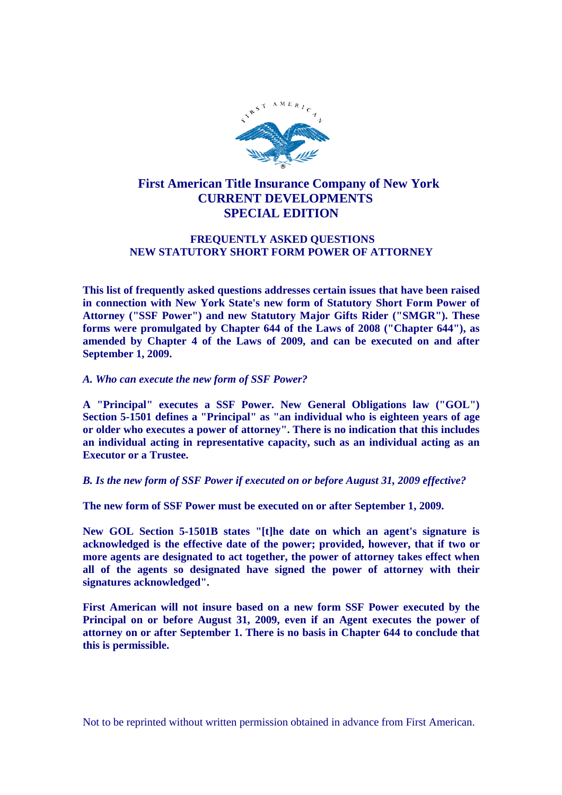

# **First American Title Insurance Company of New York CURRENT DEVELOPMENTS SPECIAL EDITION**

# **FREQUENTLY ASKED QUESTIONS NEW STATUTORY SHORT FORM POWER OF ATTORNEY**

**This list of frequently asked questions addresses certain issues that have been raised in connection with New York State's new form of Statutory Short Form Power of Attorney ("SSF Power") and new Statutory Major Gifts Rider ("SMGR"). These forms were promulgated by Chapter 644 of the Laws of 2008 ("Chapter 644"), as amended by Chapter 4 of the Laws of 2009, and can be executed on and after September 1, 2009.**

*A. Who can execute the new form of SSF Power?*

**A "Principal" executes a SSF Power. New General Obligations law ("GOL") Section 5-1501 defines a "Principal" as "an individual who is eighteen years of age or older who executes a power of attorney". There is no indication that this includes an individual acting in representative capacity, such as an individual acting as an Executor or a Trustee.**

*B. Is the new form of SSF Power if executed on or before August 31, 2009 effective?*

**The new form of SSF Power must be executed on or after September 1, 2009.**

**New GOL Section 5-1501B states "[t]he date on which an agent's signature is acknowledged is the effective date of the power; provided, however, that if two or more agents are designated to act together, the power of attorney takes effect when all of the agents so designated have signed the power of attorney with their signatures acknowledged".**

**First American will not insure based on a new form SSF Power executed by the Principal on or before August 31, 2009, even if an Agent executes the power of attorney on or after September 1. There is no basis in Chapter 644 to conclude that this is permissible.**

Not to be reprinted without written permission obtained in advance from First American.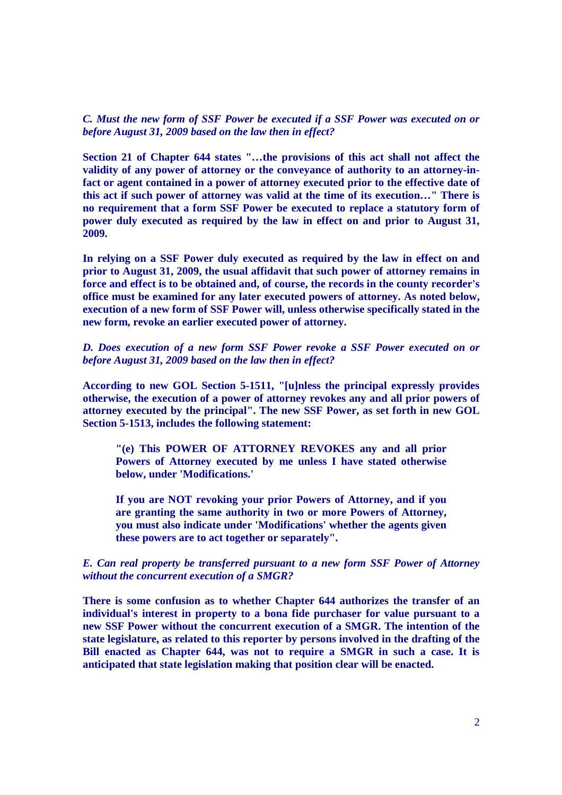*C. Must the new form of SSF Power be executed if a SSF Power was executed on or before August 31, 2009 based on the law then in effect?*

**Section 21 of Chapter 644 states "…the provisions of this act shall not affect the validity of any power of attorney or the conveyance of authority to an attorney-infact or agent contained in a power of attorney executed prior to the effective date of this act if such power of attorney was valid at the time of its execution…" There is no requirement that a form SSF Power be executed to replace a statutory form of power duly executed as required by the law in effect on and prior to August 31, 2009.**

**In relying on a SSF Power duly executed as required by the law in effect on and prior to August 31, 2009, the usual affidavit that such power of attorney remains in force and effect is to be obtained and, of course, the records in the county recorder's office must be examined for any later executed powers of attorney. As noted below, execution of a new form of SSF Power will, unless otherwise specifically stated in the new form, revoke an earlier executed power of attorney.**

# *D. Does execution of a new form SSF Power revoke a SSF Power executed on or before August 31, 2009 based on the law then in effect?*

**According to new GOL Section 5-1511, "[u]nless the principal expressly provides otherwise, the execution of a power of attorney revokes any and all prior powers of attorney executed by the principal". The new SSF Power, as set forth in new GOL Section 5-1513, includes the following statement:**

**"(e) This POWER OF ATTORNEY REVOKES any and all prior Powers of Attorney executed by me unless I have stated otherwise below, under 'Modifications.'**

**If you are NOT revoking your prior Powers of Attorney, and if you are granting the same authority in two or more Powers of Attorney, you must also indicate under 'Modifications' whether the agents given these powers are to act together or separately".**

# *E. Can real property be transferred pursuant to a new form SSF Power of Attorney without the concurrent execution of a SMGR?*

**There is some confusion as to whether Chapter 644 authorizes the transfer of an individual's interest in property to a bona fide purchaser for value pursuant to a new SSF Power without the concurrent execution of a SMGR. The intention of the state legislature, as related to this reporter by persons involved in the drafting of the Bill enacted as Chapter 644, was not to require a SMGR in such a case. It is anticipated that state legislation making that position clear will be enacted.**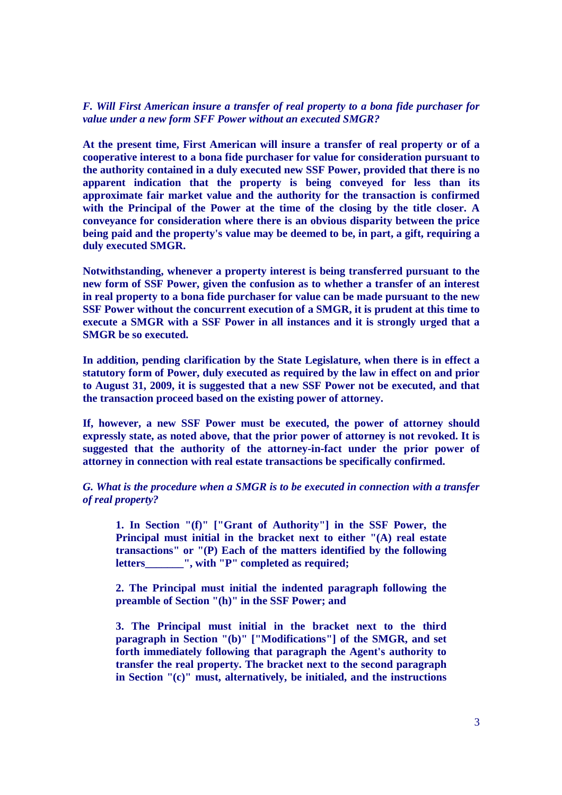## *F. Will First American insure a transfer of real property to a bona fide purchaser for value under a new form SFF Power without an executed SMGR?*

**At the present time, First American will insure a transfer of real property or of a cooperative interest to a bona fide purchaser for value for consideration pursuant to the authority contained in a duly executed new SSF Power, provided that there is no apparent indication that the property is being conveyed for less than its approximate fair market value and the authority for the transaction is confirmed with the Principal of the Power at the time of the closing by the title closer. A conveyance for consideration where there is an obvious disparity between the price being paid and the property's value may be deemed to be, in part, a gift, requiring a duly executed SMGR.**

**Notwithstanding, whenever a property interest is being transferred pursuant to the new form of SSF Power, given the confusion as to whether a transfer of an interest in real property to a bona fide purchaser for value can be made pursuant to the new SSF Power without the concurrent execution of a SMGR, it is prudent at this time to execute a SMGR with a SSF Power in all instances and it is strongly urged that a SMGR be so executed.**

**In addition, pending clarification by the State Legislature, when there is in effect a statutory form of Power, duly executed as required by the law in effect on and prior to August 31, 2009, it is suggested that a new SSF Power not be executed, and that the transaction proceed based on the existing power of attorney.**

**If, however, a new SSF Power must be executed, the power of attorney should expressly state, as noted above, that the prior power of attorney is not revoked. It is suggested that the authority of the attorney-in-fact under the prior power of attorney in connection with real estate transactions be specifically confirmed.**

*G. What is the procedure when a SMGR is to be executed in connection with a transfer of real property?*

**1. In Section "(f)" ["Grant of Authority"] in the SSF Power, the Principal must initial in the bracket next to either "(A) real estate transactions" or "(P) Each of the matters identified by the following letters\_\_\_\_\_\_\_", with "P" completed as required;**

**2. The Principal must initial the indented paragraph following the preamble of Section "(h)" in the SSF Power; and**

**3. The Principal must initial in the bracket next to the third paragraph in Section "(b)" ["Modifications"] of the SMGR, and set forth immediately following that paragraph the Agent's authority to transfer the real property. The bracket next to the second paragraph in Section "(c)" must, alternatively, be initialed, and the instructions**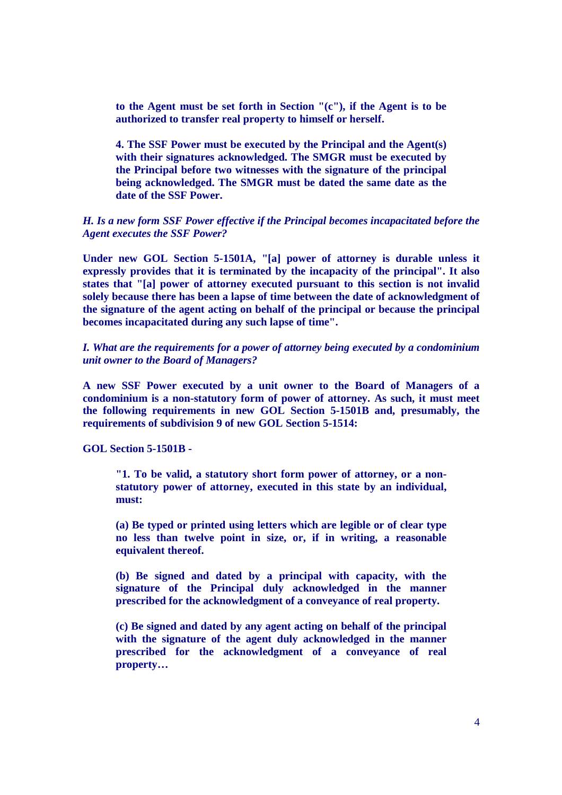**to the Agent must be set forth in Section "(c"), if the Agent is to be authorized to transfer real property to himself or herself.**

**4. The SSF Power must be executed by the Principal and the Agent(s) with their signatures acknowledged. The SMGR must be executed by the Principal before two witnesses with the signature of the principal being acknowledged. The SMGR must be dated the same date as the date of the SSF Power.**

### *H. Is a new form SSF Power effective if the Principal becomes incapacitated before the Agent executes the SSF Power?*

**Under new GOL Section 5-1501A, "[a] power of attorney is durable unless it expressly provides that it is terminated by the incapacity of the principal". It also states that "[a] power of attorney executed pursuant to this section is not invalid solely because there has been a lapse of time between the date of acknowledgment of the signature of the agent acting on behalf of the principal or because the principal becomes incapacitated during any such lapse of time".**

*I. What are the requirements for a power of attorney being executed by a condominium unit owner to the Board of Managers?*

**A new SSF Power executed by a unit owner to the Board of Managers of a condominium is a non-statutory form of power of attorney. As such, it must meet the following requirements in new GOL Section 5-1501B and, presumably, the requirements of subdivision 9 of new GOL Section 5-1514:**

**GOL Section 5-1501B -**

**"1. To be valid, a statutory short form power of attorney, or a nonstatutory power of attorney, executed in this state by an individual, must:**

**(a) Be typed or printed using letters which are legible or of clear type no less than twelve point in size, or, if in writing, a reasonable equivalent thereof.**

**(b) Be signed and dated by a principal with capacity, with the signature of the Principal duly acknowledged in the manner prescribed for the acknowledgment of a conveyance of real property.**

**(c) Be signed and dated by any agent acting on behalf of the principal with the signature of the agent duly acknowledged in the manner prescribed for the acknowledgment of a conveyance of real property…**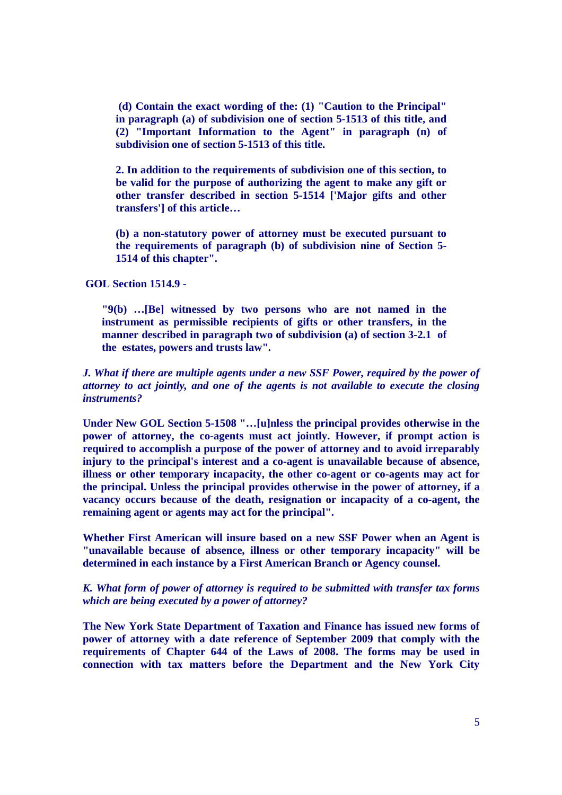**(d) Contain the exact wording of the: (1) "Caution to the Principal" in paragraph (a) of subdivision one of section 5-1513 of this title, and (2) "Important Information to the Agent" in paragraph (n) of subdivision one of section 5-1513 of this title.**

**2. In addition to the requirements of subdivision one of this section, to be valid for the purpose of authorizing the agent to make any gift or other transfer described in section 5-1514 ['Major gifts and other transfers'] of this article…**

**(b) a non-statutory power of attorney must be executed pursuant to the requirements of paragraph (b) of subdivision nine of Section 5- 1514 of this chapter".**

**GOL Section 1514.9 -**

**"9(b) …[Be] witnessed by two persons who are not named in the instrument as permissible recipients of gifts or other transfers, in the manner described in paragraph two of subdivision (a) of section 3-2.1 of the estates, powers and trusts law".**

# *J. What if there are multiple agents under a new SSF Power, required by the power of attorney to act jointly, and one of the agents is not available to execute the closing instruments?*

**Under New GOL Section 5-1508 "…[u]nless the principal provides otherwise in the power of attorney, the co-agents must act jointly. However, if prompt action is required to accomplish a purpose of the power of attorney and to avoid irreparably injury to the principal's interest and a co-agent is unavailable because of absence, illness or other temporary incapacity, the other co-agent or co-agents may act for the principal. Unless the principal provides otherwise in the power of attorney, if a vacancy occurs because of the death, resignation or incapacity of a co-agent, the remaining agent or agents may act for the principal".**

**Whether First American will insure based on a new SSF Power when an Agent is "unavailable because of absence, illness or other temporary incapacity" will be determined in each instance by a First American Branch or Agency counsel.**

# *K. What form of power of attorney is required to be submitted with transfer tax forms which are being executed by a power of attorney?*

**The New York State Department of Taxation and Finance has issued new forms of power of attorney with a date reference of September 2009 that comply with the requirements of Chapter 644 of the Laws of 2008. The forms may be used in connection with tax matters before the Department and the New York City**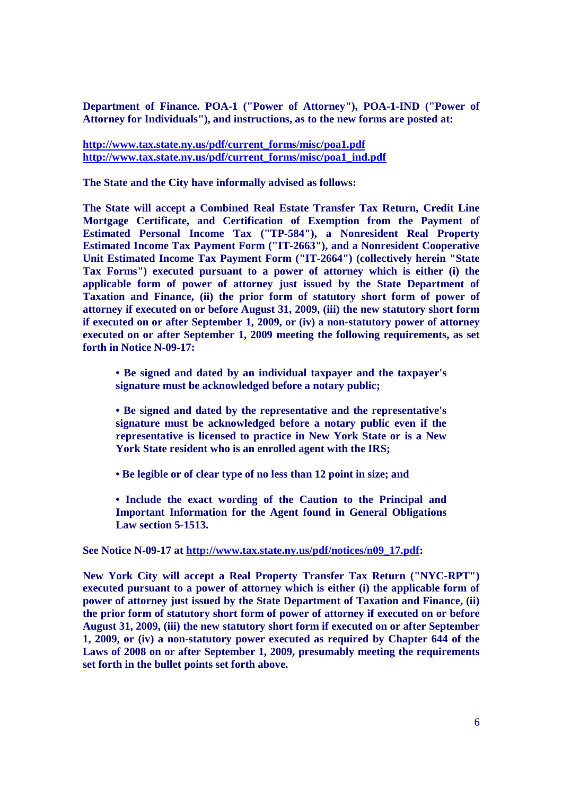**Department of Finance. POA-1 ("Power of Attorney"), POA-1-IND ("Power of Attorney for Individuals"), and instructions, as to the new forms are posted at:**

**http://www.tax.state.ny.us/pdf/current\_forms/misc/poa1.pdf http://www.tax.state.ny.us/pdf/current\_forms/misc/poa1\_ind.pdf**

**The State and the City have informally advised as follows:**

**The State will accept a Combined Real Estate Transfer Tax Return, Credit Line Mortgage Certificate, and Certification of Exemption from the Payment of Estimated Personal Income Tax ("TP-584"), a Nonresident Real Property Estimated Income Tax Payment Form ("IT-2663"), and a Nonresident Cooperative Unit Estimated Income Tax Payment Form ("IT-2664") (collectively herein "State Tax Forms") executed pursuant to a power of attorney which is either (i) the applicable form of power of attorney just issued by the State Department of Taxation and Finance, (ii) the prior form of statutory short form of power of attorney if executed on or before August 31, 2009, (iii) the new statutory short form if executed on or after September 1, 2009, or (iv) a non-statutory power of attorney executed on or after September 1, 2009 meeting the following requirements, as set forth in Notice N-09-17:**

**• Be signed and dated by an individual taxpayer and the taxpayer's signature must be acknowledged before a notary public;**

**• Be signed and dated by the representative and the representative's signature must be acknowledged before a notary public even if the representative is licensed to practice in New York State or is a New York State resident who is an enrolled agent with the IRS;**

**• Be legible or of clear type of no less than 12 point in size; and**

**• Include the exact wording of the Caution to the Principal and Important Information for the Agent found in General Obligations Law section 5-1513.**

**See Notice N-09-17 at http://www.tax.state.ny.us/pdf/notices/n09\_17.pdf:**

**New York City will accept a Real Property Transfer Tax Return ("NYC-RPT") executed pursuant to a power of attorney which is either (i) the applicable form of power of attorney just issued by the State Department of Taxation and Finance, (ii) the prior form of statutory short form of power of attorney if executed on or before August 31, 2009, (iii) the new statutory short form if executed on or after September 1, 2009, or (iv) a non-statutory power executed as required by Chapter 644 of the Laws of 2008 on or after September 1, 2009, presumably meeting the requirements set forth in the bullet points set forth above.**